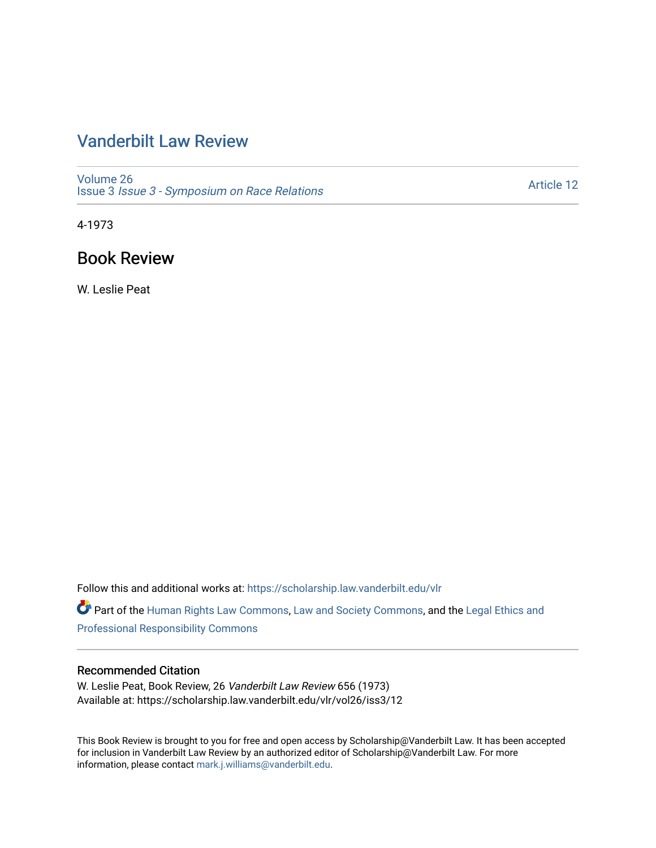## [Vanderbilt Law Review](https://scholarship.law.vanderbilt.edu/vlr)

[Volume 26](https://scholarship.law.vanderbilt.edu/vlr/vol26) Issue 3 [Issue 3 - Symposium on Race Relations](https://scholarship.law.vanderbilt.edu/vlr/vol26/iss3) 

[Article 12](https://scholarship.law.vanderbilt.edu/vlr/vol26/iss3/12) 

4-1973

### Book Review

W. Leslie Peat

Follow this and additional works at: [https://scholarship.law.vanderbilt.edu/vlr](https://scholarship.law.vanderbilt.edu/vlr?utm_source=scholarship.law.vanderbilt.edu%2Fvlr%2Fvol26%2Fiss3%2F12&utm_medium=PDF&utm_campaign=PDFCoverPages)

Part of the [Human Rights Law Commons,](http://network.bepress.com/hgg/discipline/847?utm_source=scholarship.law.vanderbilt.edu%2Fvlr%2Fvol26%2Fiss3%2F12&utm_medium=PDF&utm_campaign=PDFCoverPages) [Law and Society Commons](http://network.bepress.com/hgg/discipline/853?utm_source=scholarship.law.vanderbilt.edu%2Fvlr%2Fvol26%2Fiss3%2F12&utm_medium=PDF&utm_campaign=PDFCoverPages), and the [Legal Ethics and](http://network.bepress.com/hgg/discipline/895?utm_source=scholarship.law.vanderbilt.edu%2Fvlr%2Fvol26%2Fiss3%2F12&utm_medium=PDF&utm_campaign=PDFCoverPages) [Professional Responsibility Commons](http://network.bepress.com/hgg/discipline/895?utm_source=scholarship.law.vanderbilt.edu%2Fvlr%2Fvol26%2Fiss3%2F12&utm_medium=PDF&utm_campaign=PDFCoverPages) 

#### Recommended Citation

W. Leslie Peat, Book Review, 26 Vanderbilt Law Review 656 (1973) Available at: https://scholarship.law.vanderbilt.edu/vlr/vol26/iss3/12

This Book Review is brought to you for free and open access by Scholarship@Vanderbilt Law. It has been accepted for inclusion in Vanderbilt Law Review by an authorized editor of Scholarship@Vanderbilt Law. For more information, please contact [mark.j.williams@vanderbilt.edu](mailto:mark.j.williams@vanderbilt.edu).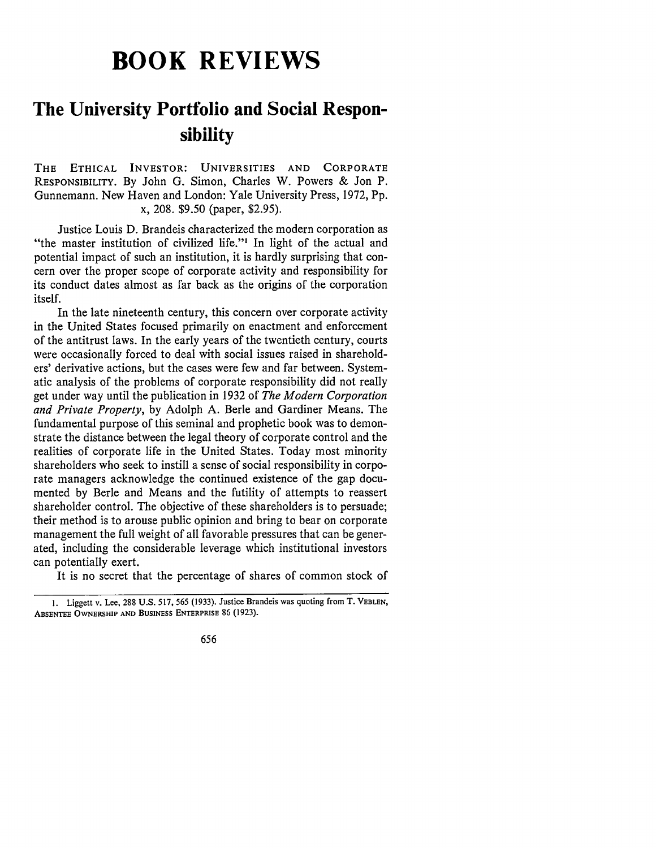# **BOOK REVIEWS**

## **The University Portfolio and Social Responsibility**

**THE** ETHICAL INVESTOR: UNIVERSITIES **AND** CORPORATE RESPONSIBILITY. By John G. Simon, Charles W. Powers & Jon P. Gunnemann. New Haven and London: Yale University Press, 1972, Pp. x, 208. \$9.50 (paper, \$2.95).

Justice Louis D. Brandeis characterized the modern corporation as "the master institution of civilized life."<sup>1</sup> In light of the actual and potential impact of such an institution, it is hardly surprising that concern over the proper scope of corporate activity and responsibility for its conduct dates almost as far back as the origins of the corporation itself.

In the late nineteenth century, this concern over corporate activity in the United States focused primarily on enactment and enforcement of the antitrust laws. In the early years of the twentieth century, courts were occasionally forced to deal with social issues raised in shareholders' derivative actions, but the cases were few and far between. Systematic analysis of the problems of corporate responsibility did not really get under way until the publication in 1932 of *The Modern Corporation and Private Property,* by Adolph A. Berle and Gardiner Means. The fundamental purpose of this seminal and prophetic book was to demonstrate the distance between the legal theory of corporate control and the realities of corporate life in the United States. Today most minority shareholders who seek to instill a sense of social responsibility in corporate managers acknowledge the continued existence of the gap documented by Berle and Means and the futility of attempts to reassert shareholder control. The objective of these shareholders is to persuade; their method is to arouse public opinion and bring to bear on corporate management the full weight of all favorable pressures that can be generated, including the considerable leverage which institutional investors can potentially exert.

It is no secret that the percentage of shares of common stock of

I. Liggett v. Lee, 288 U.S. 517, 565 (1933). Justice Brandeis was quoting from T. **VEBLEN, ABSENTEE OWNERSHIP AND BUSINESS ENTERPRISE** 86 **(1923).**

<sup>656</sup>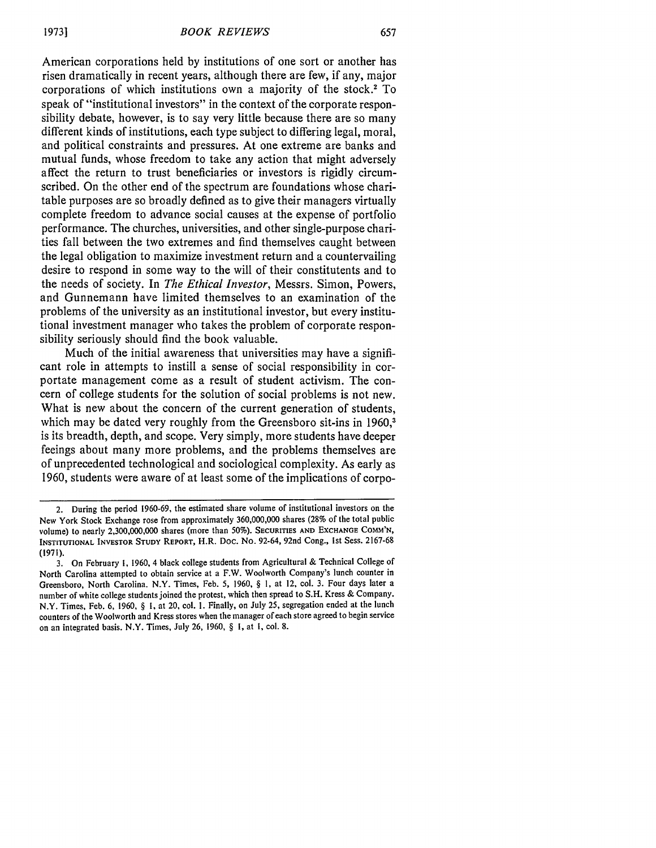American corporations held by institutions of one sort or another has risen dramatically in recent years, although there are few, if any, major corporations of which institutions own a majority of the stock.2 To speak of "institutional investors" in the context of the corporate responsibility debate, however, is to say very little because there are so many different kinds of institutions, each type subject to differing legal, moral, and political constraints and pressures. At one extreme are banks and mutual funds, whose freedom to take any action that might adversely affect the return to trust beneficiaries or investors is rigidly circumscribed. On the other end of the spectrum are foundations whose charitable purposes are so broadly defined as to give their managers virtually complete freedom to advance social causes at the expense of portfolio performance. The churches, universities, and other single-purpose charities fall between the two extremes and find themselves caught between the legal obligation to maximize investment return and a countervailing desire to respond in some way to the will of their constitutents and to the needs of society. In *The Ethical Investor,* Messrs. Simon, Powers, and Gunnemann have limited themselves to an examination of the problems of the university as an institutional investor, but every institutional investment manager who takes the problem of corporate responsibility seriously should find the book valuable.

Much of the initial awareness that universities may have a significant role in attempts to instill a sense of social responsibility in corportate management come as a result of student activism. The concern of college students for the solution of social problems is not new. What is new about the concern of the current generation of students, which may be dated very roughly from the Greensboro sit-ins in 1960,<sup>3</sup> is its breadth, depth, and scope. Very simply, more students have deeper feeings about many more problems, and the problems themselves are of unprecedented technological and sociological complexity. As early as 1960, students were aware of at least some of the implications of corpo-

<sup>2.</sup> During the period 1960-69, the estimated share volume of institutional investors on the New York Stock Exchange rose from approximately 360,000,000 shares (28% of the total public volume) to nearly 2,300,000,000 shares (more than **50%). SECURITIES AND EXCHANGE COMM'N, INSTITUTIONAL** INVESTOR **STUDY REPORT,** H.R. Doc. **No.** 92-64, 92nd Cong., Ist Sess. 2167-68 **(1971).**

<sup>3.</sup> On February i, 1960, 4 black college students from Agricultural & Technical College of North Carolina attempted to obtain service at a F.W. Woolworth Company's lunch counter in Greensboro, North Carolina. N.Y. Times, Feb. 5, 1960, § 1, at 12, col. 3. Four days later a number of white college students joined the protest, which then spread to S.H. Kress & Company. N.Y. Times, Feb. 6, 1960, § **1,** at 20, col. **1.** Finally, on July 25, segregation ended at the lunch counters of the Woolworth and Kress stores when the manager of each store agreed to begin service on an integrated basis. N.Y. Times, July 26, 1960, § 1, at 1, col. 8.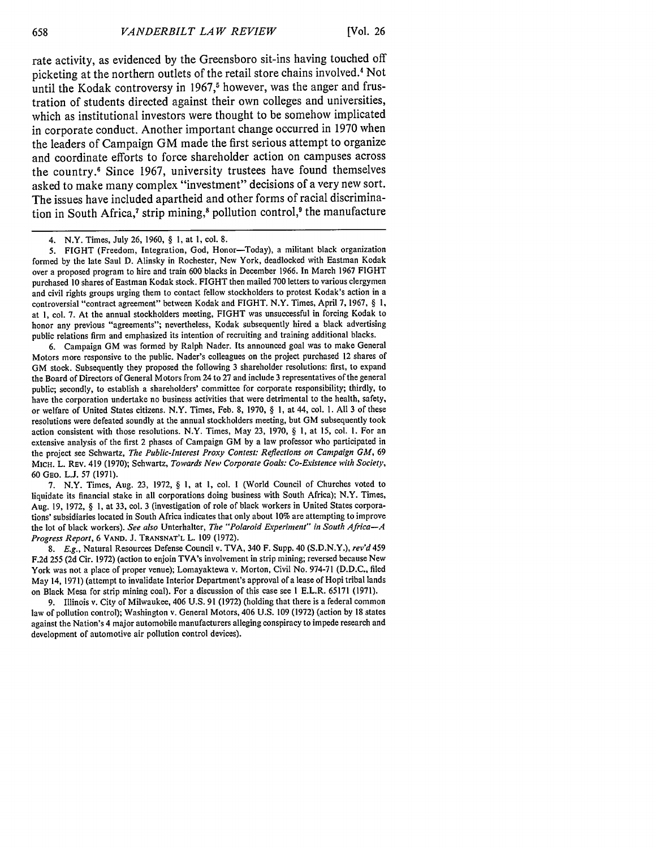rate activity, as evidenced **by** the Greensboro sit-ins having touched off picketing at the northern outlets of the retail store chains involved.4 Not until the Kodak controversy in 1967,<sup>5</sup> however, was the anger and frustration of students directed against their own colleges and universities, which as institutional investors were thought to be somehow implicated in corporate conduct. Another important change occurred in **1970** when the leaders of Campaign **GM** made the first serious attempt to organize and coordinate efforts to force shareholder action on campuses across the country.6 Since **1967,** university trustees have found themselves asked to make many complex "investment" decisions of a very new sort. The issues have included apartheid and other forms of racial discrimination in South Africa,<sup>7</sup> strip mining,<sup>8</sup> pollution control,<sup>9</sup> the manufacture

**5.** FIGHT (Freedom, Integration, God, Honor-Today), a militant black organization formed by the late Saul **D.** Alinsky in Rochester, New York, deadlocked with Eastman Kodak over a proposed program to hire and train 600 blacks in December 1966. In March 1967 FIGHT purchased 10 shares of Eastman Kodak stock. FIGHT then mailed 700 letters to various clergymen and civil rights groups urging them to contact fellow stockholders to protest Kodak's action in a controversial "contract agreement" between Kodak and FIGHT. N.Y. Times, April 7, 1967, § **1,** at 1, col. 7. At the annual stockholders meeting, FIGHT was unsuccessful in forcing Kodak to honor any previous "agreements"; nevertheless, Kodak subsequently hired a black advertising public relations firm and emphasized its intention of recruiting and training additional blacks.

6. Campaign GM was formed by Ralph Nader. Its announced goal was to make General Motors more responsive to the public. Nader's colleagues on the project purchased 12 shares of GM stock. Subsequently they proposed the following 3 shareholder resolutions: first, to expand the Board of Directors of General Motors from 24 to 27 and include 3 representatives of the general public; secondly, to establish a shareholders' committee for corporate responsibility; thirdly, to have the corporation undertake no business activities that were detrimental to the health, safety, or welfare of United States citizens. N.Y. Times, Feb. 8, 1970, § 1, at 44, col. **1.** All 3 of these resolutions were defeated soundly at the annual stockholders meeting, but GM subsequently took action consistent with those resolutions. N.Y. Times, May 23, 1970, § I, at **15,** col. 1. For an extensive analysis of the first 2 phases of Campaign GM by a law professor who participated in the project see Schwartz, *The Public-Interest Proxy Contest: Reflections on Campaign GM,* <sup>69</sup> MICH. L. REv. 419 (1970); Schwartz, *Towards New Corporate Goals: Co-Existence with Society,* 60 GEo. L.J. 57 (1971).

7. N.Y. Times, Aug. 23, 1972, § 1, at 1, col. **I** (World Council of Churches voted to liquidate its financial stake in all corporations doing business with South Africa); N.Y. Times, Aug. 19, 1972, § **1,** at 33, col. 3 (investigation of role of black workers in United States corporations' subsidiaries located in South Africa indicates that only about **10%** are attempting to improve the lot of black workers). *See also* Unterhalter, *The "Polaroid Experiment" in South Africa-A Progress Report,* 6 **VAND. J. TRANSNAT'L** L. 109 (1972).

**8.** *E.g.,* Natural Resources Defense Council v. TVA, 340 F. Supp. 40 (S.D.N.Y.), *rev'd* 459 F.2d **255** (2d Cir. 1972) (action to enjoin TVA's involvement in strip mining; reversed because New York was not a place of proper venue); Lomayaktewa v. Morton, Civil No. 974-71 (D.D.C., filed May 14, 1971) (attempt to invalidate Interior Department's approval of a lease of Hopi tribal lands on Black Mesa for strip mining coal). For a discussion of this case see 1 E.L.R. **65171** (1971).

**9.** Illinois v. City of Milwaukee, 406 U.S. 91 (1972) (holding that there is a federal common law of pollution control); Washington v. General Motors, 406 **U.S. 109** (1972) (action **by 18** states against the Nation's 4 major automobile manufacturers alleging conspiracy to impede research and development of automotive air pollution control devices).

<sup>4.</sup> N.Y. Times, July 26, 1960, § **1,** at I, col. 8.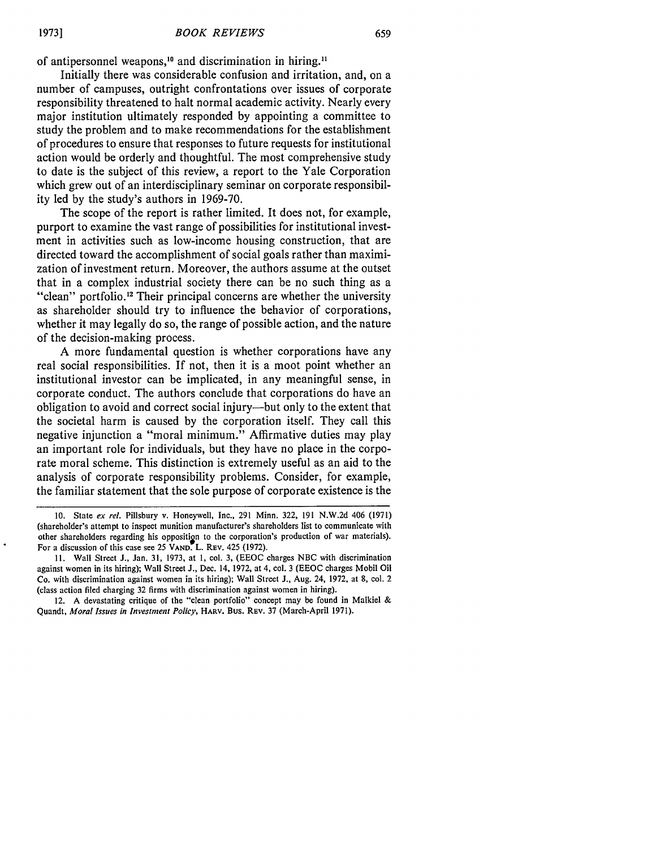of antipersonnel weapons,<sup>10</sup> and discrimination in hiring.<sup>11</sup>

Initially there was considerable confusion and irritation, and, on a number of campuses, outright confrontations over issues of corporate responsibility threatened to halt normal academic activity. Nearly every major institution ultimately responded by appointing a committee to study the problem and to make recommendations for the establishment of procedures to ensure that responses to future requests for institutional action would be orderly and thoughtful. The most comprehensive study to date is the subject of this review, a report to the Yale Corporation which grew out of an interdisciplinary seminar on corporate responsibility led by the study's authors in 1969-70.

The scope of the report is rather limited. It does not, for example, purport to examine the vast range of possibilities for institutional investment in activities such as low-income housing construction, that are directed toward the accomplishment of social goals rather than maximization of investment return. Moreover, the authors assume at the outset that in a complex industrial society there can be no such thing as a "clean" portfolio.<sup>12</sup> Their principal concerns are whether the university as shareholder should try to influence the behavior of corporations, whether it may legally do so, the range of possible action, and the nature of the decision-making process.

A more fundamental question is whether corporations have any real social responsibilities. If not, then it is a moot point whether an institutional investor can be implicated, in any meaningful sense, in corporate conduct. The authors conclude that corporations do have an obligation to avoid and correct social injury-but only to the extent that the societal harm is caused by the corporation itself. They call this negative injunction a "moral minimum." Affirmative duties may play an important role for individuals, but they have no place in the corporate moral scheme. This distinction is extremely useful as an aid to the analysis of corporate responsibility problems. Consider, for example, the familiar statement that the sole purpose of corporate existence is the

**<sup>10.</sup>** State *ex* **rel.** Pillsbury v. Honeywell, Inc., 291 Minn. 322, 191 N.W.2d 406 (1971) (shareholder's attempt to inspect munition manufacturer's shareholders list to communicate with other shareholders regarding his opposition to the corporation's production of war materials). For a discussion of this case see 25 **VAND.** L. REv. 425 (1972).

**<sup>11.</sup>** Wall Street **J.,** Jan. 31, 1973, at 1, col. 3, (EEOC charges NBC with discrimination against women in its hiring); Wall Street J., Dec. 14, 1972, at 4, col. 3 (EEOC charges Mobil Oil Co. with discrimination against women in its hiring); Wall Street J., Aug. 24, 1972, at 8, col. 2 (class action filed charging 32 firms with discrimination against women in hiring).

<sup>12.</sup> A devastating critique of the "clean portfolio" concept may be found in Malkiel & Quandt, *Moral Issues in Investment Policy,* HARV. Bus. REv. 37 (March-April 1971).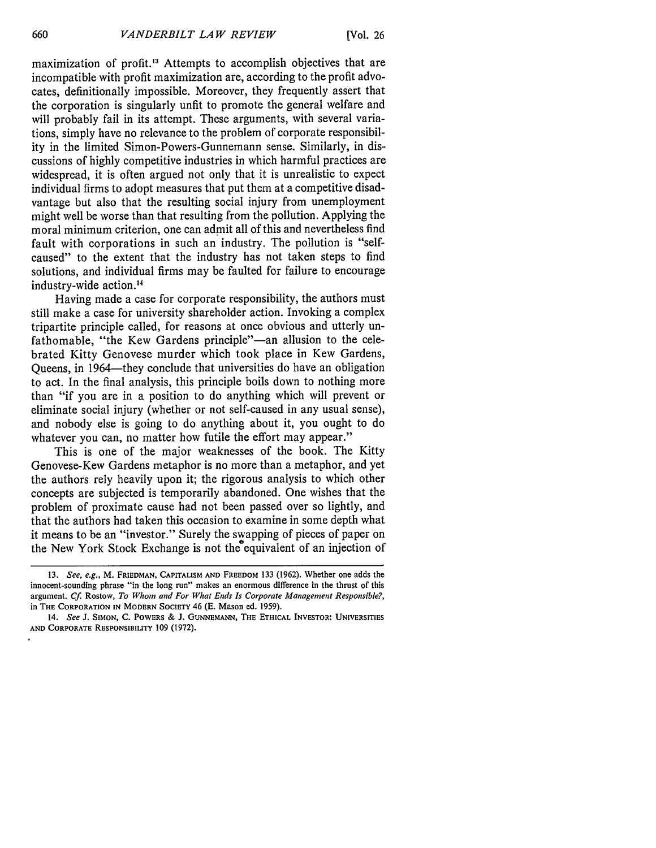maximization of profit.13 Attempts to accomplish objectives that are incompatible with profit maximization are, according to the profit advocates, definitionally impossible. Moreover, they frequently assert that the corporation is singularly unfit to promote the general welfare and will probably fail in its attempt. These arguments, with several variations, simply have no relevance to the problem of corporate responsibility in the limited Simon-Powers-Gunnemann sense. Similarly, in discussions of highly competitive industries in which harmful practices are widespread, it is often argued not only that it is unrealistic to expect individual firms to adopt measures that put them at a competitive disadvantage but also that the resulting social injury from unemployment might well be worse than that resulting from the pollution. Applying the moral minimum criterion, one can admit all of this and nevertheless find fault with corporations in such an industry. The pollution is "selfcaused" to the extent that the industry has not taken steps to find solutions, and individual firms may be faulted for failure to encourage industry-wide action.<sup>14</sup>

Having made a case for corporate responsibility, the authors must still make a case for university shareholder action. Invoking a complex tripartite principle called, for reasons at once obvious and utterly unfathomable, "the Kew Gardens principle"-an allusion to the celebrated Kitty Genovese murder which took place in Kew Gardens, Queens, in 1964—they conclude that universities do have an obligation to act. In the final analysis, this principle boils down to nothing more than "if you are in a position to do anything which will prevent or eliminate social injury (whether or not self-caused in any usual sense), and nobody else is going to do anything about it, you ought to do whatever you can, no matter how futile the effort may appear."

This is one of the major weaknesses of the book. The Kitty Genovese-Kew Gardens metaphor is no more than a metaphor, and yet the authors rely heavily upon it; the rigorous analysis to which other concepts are subjected is temporarily abandoned. One wishes that the problem of proximate cause had not been passed over so lightly, and that the authors had taken this occasion to examine in some depth what it means to be an "investor." Surely the swapping of pieces of paper on the New York Stock Exchange is not the equivalent of an injection of

<sup>13.</sup> *See, e.g.,* M. FRIEDMAN, **CAPITALISM AND** FREEDOM 133 (1962). Whether one adds the innocent-sounding phrase "in the long run" makes an enormous difference in the thrust of this argument. **Cf.** Rostow, *To Whom and For What Ends Is Corporate Management Responsible?,* in **THE** CORPORATION **IN** MODERN **SOCIETY** 46 **(E.** Mason ed. 1959).

<sup>14.</sup> *See* **J. SIMON, C.** POWERS **& J. GUNNEMANN,** THE **ETHICAL** INVESTOR: **UNIVERSITIES AND** CORPORATE **RESPONSIBILITY** 109 (1972).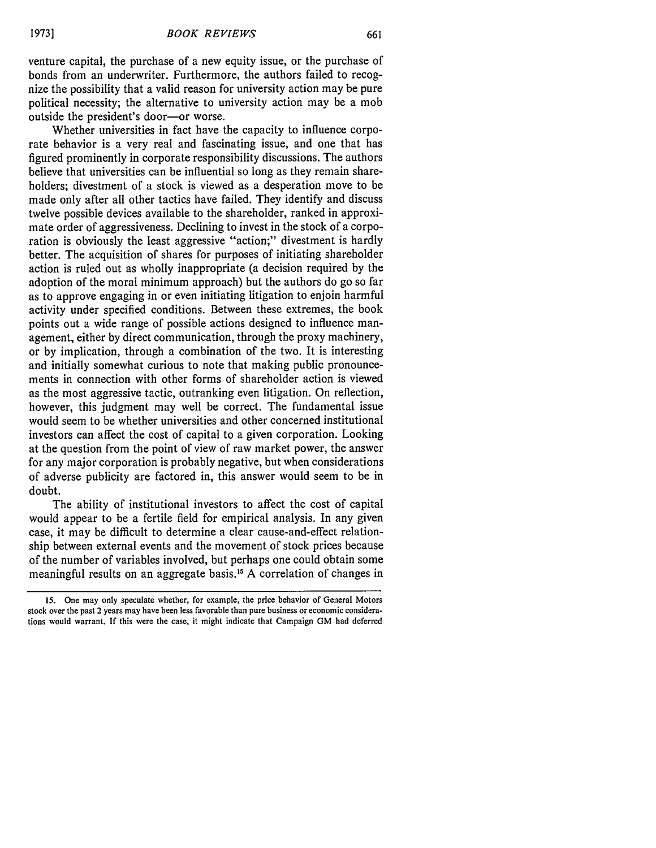661

venture capital, the purchase of a new equity issue, or the purchase of bonds from an underwriter. Furthermore, the authors failed to recognize the possibility that a valid reason for university action may be pure political necessity; the alternative to university action may be a mob outside the president's door-or worse.

Whether universities in fact have the capacity to influence corporate behavior is a very real and fascinating issue, and one that has figured prominently in corporate responsibility discussions. The authors believe that universities can be influential so long as they remain shareholders; divestment of a stock is viewed as a desperation move to be made only after all other tactics have failed. They identify and discuss twelve possible devices available to the shareholder, ranked in approximate order of aggressiveness. Declining to invest in the stock of a corporation is obviously the least aggressive "action;" divestment is hardly better. The acquisition of shares for purposes of initiating shareholder action is ruled out as wholly inappropriate (a decision required by the adoption of the moral minimum approach) but the authors do go so far as to approve engaging in or even initiating litigation to enjoin harmful activity under specified conditions. Between these extremes, the book points out a wide range of possible actions designed to influence management, either by direct communication, through the proxy machinery, or by implication, through a combination of the two. It is interesting and initially somewhat curious to note that making public pronouncements in connection with other forms of shareholder action is viewed as the most aggressive tactic, outranking even litigation. On reflection, however, this judgment may well be correct. The fundamental issue would seem to be whether universities and other concerned institutional investors can affect the cost of capital to a given corporation. Looking at the question from the point of view of raw market power, the answer for any major corporation is probably negative, but when considerations of adverse publicity are factored in, this answer would seem to be in doubt.

The ability of institutional investors to affect the cost of capital would appear to be a fertile field for empirical analysis. In any given case, it may be difficult to determine a clear cause-and-effect relationship between external events and the movement of stock prices because of the number of variables involved, but perhaps one could obtain some meaningful results on an aggregate basis.<sup>15</sup> A correlation of changes in

<sup>15.</sup> One may only speculate whether, for example, the price behavior of General Motors stock over the past 2 years may have been less favorable than pure business or economic considerations would warrant. If this were the case, it might indicate that Campaign GM had deferred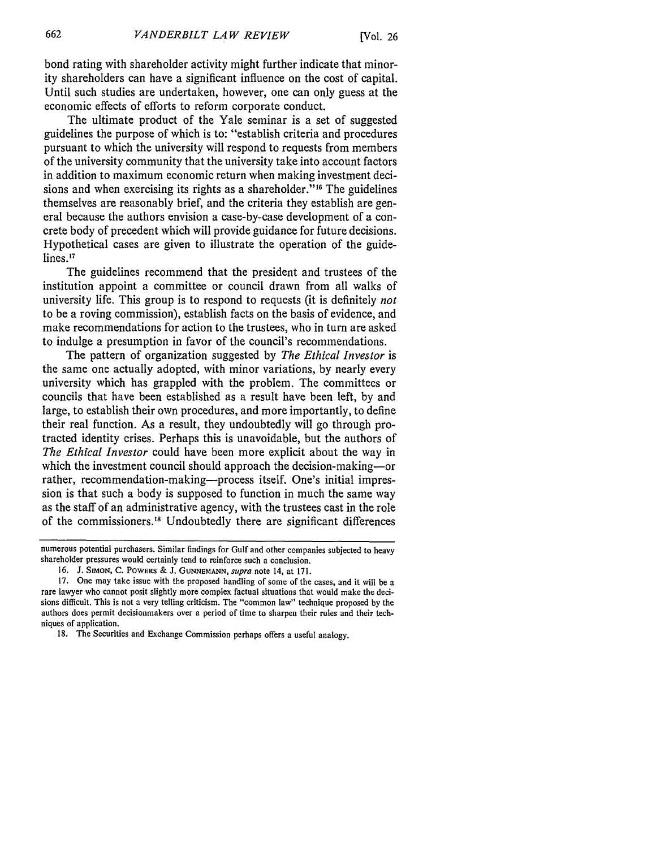bond rating with shareholder activity might further indicate that minority shareholders can have a significant influence on the cost of capital. Until such studies are undertaken, however, one can only guess at the economic effects of efforts to reform corporate conduct.

The ultimate product of the Yale seminar is a set of suggested guidelines the purpose of which is to: "establish criteria and procedures pursuant to which the university will respond to requests from members of the university community that the university take into account factors in addition to maximum economic return when making investment decisions and when exercising its rights as a shareholder.""6 The guidelines themselves are reasonably brief, and the criteria they establish are general because the authors envision a case-by-case development of a concrete body of precedent which will provide guidance for future decisions. Hypothetical cases are given to illustrate the operation of the guidelines.<sup>17</sup>

The guidelines recommend that the president and trustees of the institution appoint a committee or council drawn from all walks of university life. This group is to respond to requests (it is definitely *not* to be a roving commission), establish facts on the basis of evidence, and make recommendations for action to the trustees, who in turn are asked to indulge a presumption in favor of the council's recommendations.

The pattern of organization suggested by *The Ethical Investor* is the same one actually adopted, with minor variations, by nearly every university which has grappled with the problem. The committees or councils that have been established as a result have been left, by and large, to establish their own procedures, and more importantly, to define their real function. As a result, they undoubtedly will go through protracted identity crises. Perhaps this is unavoidable, but the authors of *The Ethical Investor* could have been more explicit about the way in which the investment council should approach the decision-making--- or rather, recommendation-making-process itself. One's initial impression is that such a body is supposed to function in much the same way as the staff of an administrative agency, with the trustees cast in the role of the commissioners.<sup>18</sup> Undoubtedly there are significant differences

numerous potential purchasers. Similar findings for Gulf and other companies subjected to heavy shareholder pressures would certainly tend to reinforce such a conclusion.

**<sup>16.</sup> J. SIMON, C.** POWERS & **J. GUNNEMANN,** *supra* note 14, at 171.

**<sup>17.</sup>** One may take issue with the proposed handling of some of the cases, and it will be a rare lawyer who cannot posit slightly more complex factual situations that would make the decisions difficult. This is not a very telling criticism. The "common law" technique proposed **by** the authors does permit decisionmakers over a period of time to sharpen their rules and their techniques of application.

**<sup>18.</sup>** The Securities and Exchange Commission perhaps offers a useful analogy.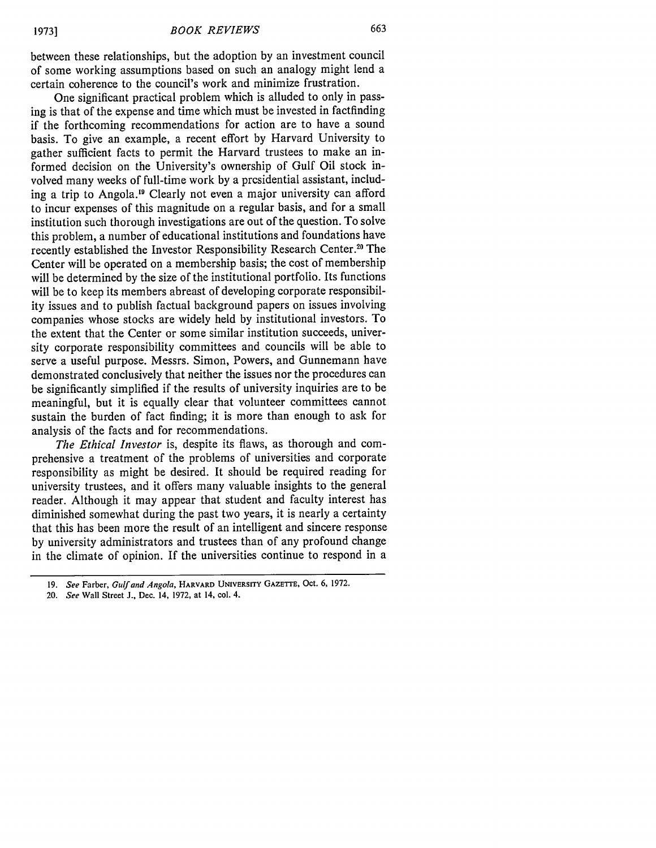between these relationships, but the adoption by an investment council of some working assumptions based on such an analogy might lend a certain coherence to the council's work and minimize frustration.

One significant practical problem which is alluded to only in passing is that of the expense and time which must be invested in factfinding if the forthcoming recommendations for action are to have a sound basis. To give an example, a recent effort by Harvard University to gather sufficient facts to permit the Harvard trustees to make an informed decision on the University's ownership of Gulf Oil stock involved many weeks of full-time work by a presidential assistant, including a trip to Angola.<sup>19</sup> Clearly not even a major university can afford to incur expenses of this magnitude on a regular basis, and for a small institution such thorough investigations are out of the question. To solve this problem, a number of educational institutions and foundations have recently established the Investor Responsibility Research Center.<sup>20</sup> The Center will be operated on a membership basis; the cost of membership will be determined by the size of the institutional portfolio. Its functions will be to keep its members abreast of developing corporate responsibility issues and to publish factual background papers on issues involving companies whose stocks are widely held by institutional investors. To the extent that the Center or some similar institution succeeds, university corporate responsibility committees and councils will be able to serve a useful purpose. Messrs. Simon, Powers, and Gunnemann have demonstrated conclusively that neither the issues nor the procedures can be significantly simplified if the results of university inquiries are to be meaningful, but it is equally clear that volunteer committees cannot sustain the burden of fact finding; it is more than enough to ask for analysis of the facts and for recommendations.

*The Ethical Investor* is, despite its flaws, as thorough and comprehensive a treatment of the problems of universities and corporate responsibility as might be desired. It should be required reading for university trustees, and it offers many valuable insights to the general reader. Although it may appear that student and faculty interest has diminished somewhat during the past two years, it is nearly a certainty that this has been more the result of an intelligent and sincere response by university administrators and trustees than of any profound change in the climate of opinion. If the universities continue to respond in a

*20. See* Wall Street **J.,** Dec. 14, **1972,** at 14, col. 4.

**<sup>19.</sup>** *See* Farber, *Gulf and Angola,* HARVARD UNIVERSITY **GAZETrE,** Oct. **6, 1972.**